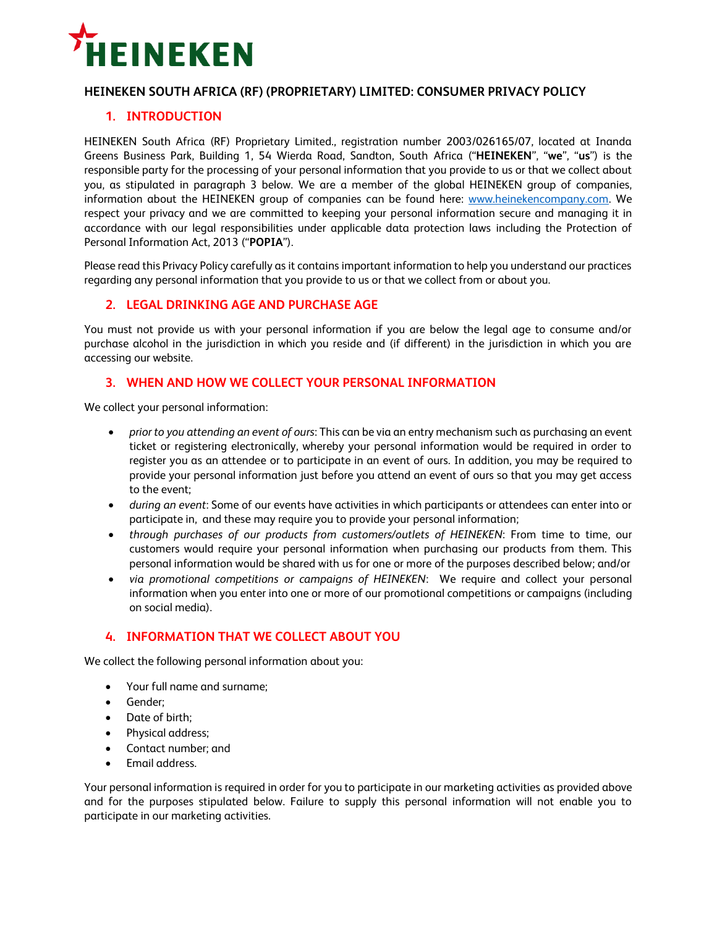

### **HEINEKEN SOUTH AFRICA (RF) (PROPRIETARY) LIMITED: CONSUMER PRIVACY POLICY**

# **1. INTRODUCTION**

HEINEKEN South Africa (RF) Proprietary Limited., registration number 2003/026165/07, located at Inanda Greens Business Park, Building 1, 54 Wierda Road, Sandton, South Africa ("**HEINEKEN**", "**we**", "**us**") is the responsible party for the processing of your personal information that you provide to us or that we collect about you, as stipulated in paragraph 3 below. We are a member of the global HEINEKEN group of companies, information about the HEINEKEN group of companies can be found here: [www.heinekencompany.com.](http://www.heinekencompany.com/) We respect your privacy and we are committed to keeping your personal information secure and managing it in accordance with our legal responsibilities under applicable data protection laws including the Protection of Personal Information Act, 2013 ("**POPIA**").

Please read this Privacy Policy carefully as it contains important information to help you understand our practices regarding any personal information that you provide to us or that we collect from or about you.

### **2. LEGAL DRINKING AGE AND PURCHASE AGE**

You must not provide us with your personal information if you are below the legal age to consume and/or purchase alcohol in the jurisdiction in which you reside and (if different) in the jurisdiction in which you are accessing our website.

### **3. WHEN AND HOW WE COLLECT YOUR PERSONAL INFORMATION**

We collect your personal information:

- *prior to you attending an event of ours*: This can be via an entry mechanism such as purchasing an event ticket or registering electronically, whereby your personal information would be required in order to register you as an attendee or to participate in an event of ours. In addition, you may be required to provide your personal information just before you attend an event of ours so that you may get access to the event;
- *during an event*: Some of our events have activities in which participants or attendees can enter into or participate in, and these may require you to provide your personal information;
- *through purchases of our products from customers/outlets of HEINEKEN*: From time to time, our customers would require your personal information when purchasing our products from them. This personal information would be shared with us for one or more of the purposes described below; and/or
- *via promotional competitions or campaigns of HEINEKEN*: We require and collect your personal information when you enter into one or more of our promotional competitions or campaigns (including on social media).

### **4. INFORMATION THAT WE COLLECT ABOUT YOU**

We collect the following personal information about you:

- Your full name and surname;
- Gender;
- Date of birth;
- Physical address;
- Contact number; and
- Email address.

Your personal information is required in order for you to participate in our marketing activities as provided above and for the purposes stipulated below. Failure to supply this personal information will not enable you to participate in our marketing activities.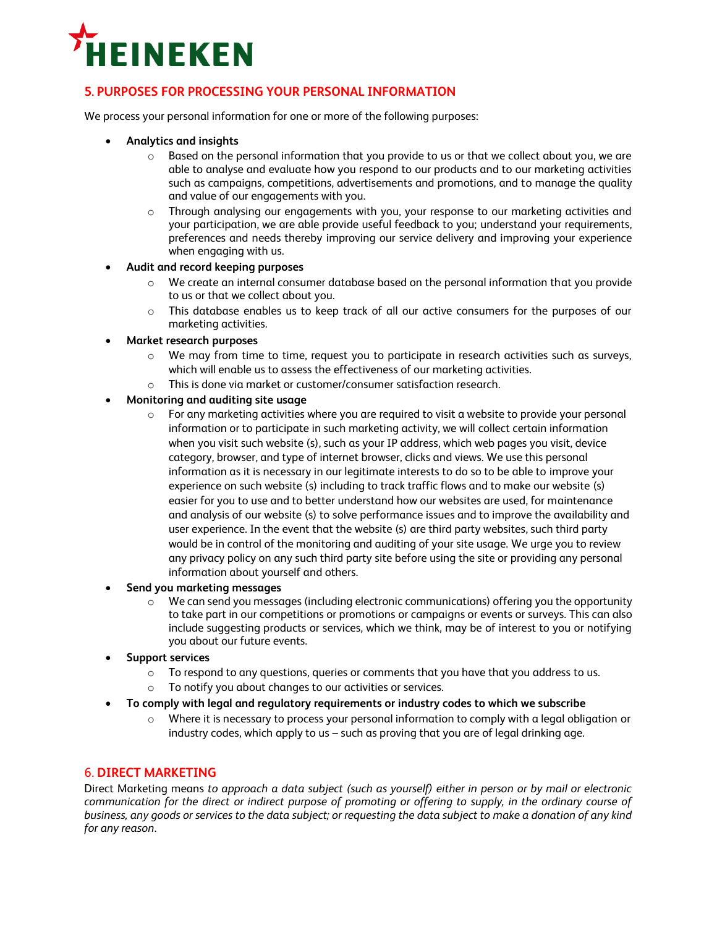

# **5. PURPOSES FOR PROCESSING YOUR PERSONAL INFORMATION**

We process your personal information for one or more of the following purposes:

- **Analytics and insights**
	- $\circ$  Based on the personal information that you provide to us or that we collect about you, we are able to analyse and evaluate how you respond to our products and to our marketing activities such as campaigns, competitions, advertisements and promotions, and to manage the quality and value of our engagements with you.
	- o Through analysing our engagements with you, your response to our marketing activities and your participation, we are able provide useful feedback to you; understand your requirements, preferences and needs thereby improving our service delivery and improving your experience when engaging with us.

#### **Audit and record keeping purposes**

- o We create an internal consumer database based on the personal information that you provide to us or that we collect about you.
- o This database enables us to keep track of all our active consumers for the purposes of our marketing activities.
- **Market research purposes**
	- $\circ$  We may from time to time, request you to participate in research activities such as surveys, which will enable us to assess the effectiveness of our marketing activities.
	- o This is done via market or customer/consumer satisfaction research.

### **Monitoring and auditing site usage**

- $\circ$  For any marketing activities where you are required to visit a website to provide your personal information or to participate in such marketing activity, we will collect certain information when you visit such website (s), such as your IP address, which web pages you visit, device category, browser, and type of internet browser, clicks and views. We use this personal information as it is necessary in our legitimate interests to do so to be able to improve your experience on such website (s) including to track traffic flows and to make our website (s) easier for you to use and to better understand how our websites are used, for maintenance and analysis of our website (s) to solve performance issues and to improve the availability and user experience. In the event that the website (s) are third party websites, such third party would be in control of the monitoring and auditing of your site usage. We urge you to review any privacy policy on any such third party site before using the site or providing any personal information about yourself and others.
- **Send you marketing messages** 
	- $\circ$  We can send you messages (including electronic communications) offering you the opportunity to take part in our competitions or promotions or campaigns or events or surveys. This can also include suggesting products or services, which we think, may be of interest to you or notifying you about our future events.
- **Support services** 
	- $\circ$  To respond to any questions, queries or comments that you have that you address to us.
	- o To notify you about changes to our activities or services.
- **To comply with legal and regulatory requirements or industry codes to which we subscribe**
	- $\circ$  Where it is necessary to process your personal information to comply with a legal obligation or industry codes, which apply to us – such as proving that you are of legal drinking age.

### 6. **DIRECT MARKETING**

Direct Marketing means *to approach a data subject (such as yourself) either in person or by mail or electronic communication for the direct or indirect purpose of promoting or offering to supply, in the ordinary course of business, any goods or services to the data subject; or requesting the data subject to make a donation of any kind for any reason*.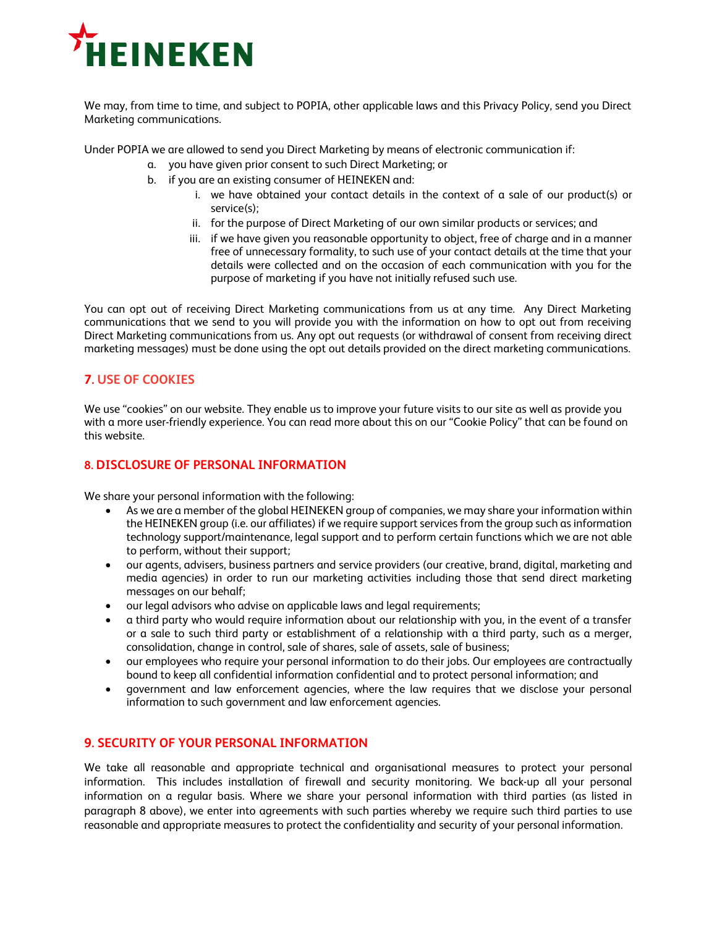

We may, from time to time, and subject to POPIA, other applicable laws and this Privacy Policy, send you Direct Marketing communications.

Under POPIA we are allowed to send you Direct Marketing by means of electronic communication if:

- a. you have given prior consent to such Direct Marketing; or
- b. if you are an existing consumer of HEINEKEN and:
	- i. we have obtained your contact details in the context of a sale of our product(s) or service(s);
	- ii. for the purpose of Direct Marketing of our own similar products or services; and
	- iii. if we have given you reasonable opportunity to object, free of charge and in a manner free of unnecessary formality, to such use of your contact details at the time that your details were collected and on the occasion of each communication with you for the purpose of marketing if you have not initially refused such use.

You can opt out of receiving Direct Marketing communications from us at any time. Any Direct Marketing communications that we send to you will provide you with the information on how to opt out from receiving Direct Marketing communications from us. Any opt out requests (or withdrawal of consent from receiving direct marketing messages) must be done using the opt out details provided on the direct marketing communications.

# **7. USE OF COOKIES**

We use "cookies" on our website. They enable us to improve your future visits to our site as well as provide you with a more user-friendly experience. You can read more about this on our "Cookie Policy" that can be found on this website.

### **8. DISCLOSURE OF PERSONAL INFORMATION**

We share your personal information with the following:

- As we are a member of the global HEINEKEN group of companies, we may share your information within the HEINEKEN group (i.e. our affiliates) if we require support services from the group such as information technology support/maintenance, legal support and to perform certain functions which we are not able to perform, without their support;
- our agents, advisers, business partners and service providers (our creative, brand, digital, marketing and media agencies) in order to run our marketing activities including those that send direct marketing messages on our behalf;
- our legal advisors who advise on applicable laws and legal requirements;
- a third party who would require information about our relationship with you, in the event of a transfer or a sale to such third party or establishment of a relationship with a third party, such as a merger, consolidation, change in control, sale of shares, sale of assets, sale of business;
- our employees who require your personal information to do their jobs. Our employees are contractually bound to keep all confidential information confidential and to protect personal information; and
- government and law enforcement agencies, where the law requires that we disclose your personal information to such government and law enforcement agencies.

### **9. SECURITY OF YOUR PERSONAL INFORMATION**

We take all reasonable and appropriate technical and organisational measures to protect your personal information. This includes installation of firewall and security monitoring. We back-up all your personal information on a regular basis. Where we share your personal information with third parties (as listed in paragraph 8 above), we enter into agreements with such parties whereby we require such third parties to use reasonable and appropriate measures to protect the confidentiality and security of your personal information.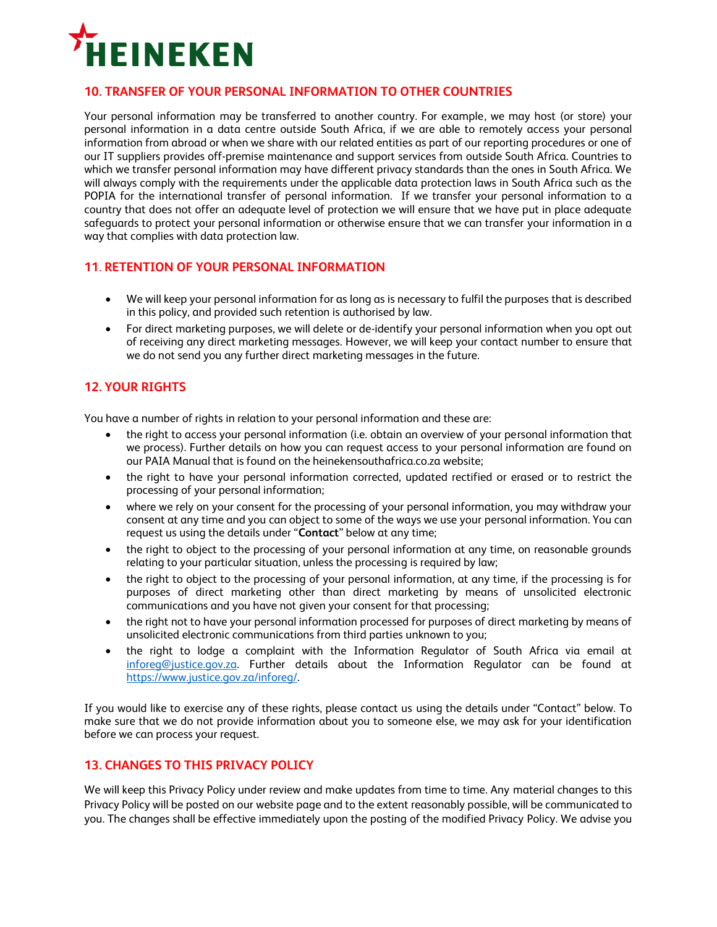

### **10. TRANSFER OF YOUR PERSONAL INFORMATION TO OTHER COUNTRIES**

Your personal information may be transferred to another country. For example, we may host (or store) your personal information in a data centre outside South Africa, if we are able to remotely access your personal information from abroad or when we share with our related entities as part of our reporting procedures or one of our IT suppliers provides off-premise maintenance and support services from outside South Africa. Countries to which we transfer personal information may have different privacy standards than the ones in South Africa. We will always comply with the requirements under the applicable data protection laws in South Africa such as the POPIA for the international transfer of personal information. If we transfer your personal information to a country that does not offer an adequate level of protection we will ensure that we have put in place adequate safeguards to protect your personal information or otherwise ensure that we can transfer your information in a way that complies with data protection law.

# **11**. **RETENTION OF YOUR PERSONAL INFORMATION**

- We will keep your personal information for as long as is necessary to fulfil the purposes that is described in this policy, and provided such retention is authorised by law.
- For direct marketing purposes, we will delete or de-identify your personal information when you opt out of receiving any direct marketing messages. However, we will keep your contact number to ensure that we do not send you any further direct marketing messages in the future.

# **12. YOUR RIGHTS**

You have a number of rights in relation to your personal information and these are:

- the right to access your personal information (i.e. obtain an overview of your personal information that we process). Further details on how you can request access to your personal information are found on our PAIA Manual that is found on the heinekensouthafrica.co.za website;
- the right to have your personal information corrected, updated rectified or erased or to restrict the processing of your personal information;
- where we rely on your consent for the processing of your personal information, you may withdraw your consent at any time and you can object to some of the ways we use your personal information. You can request us using the details under "**Contact**" below at any time;
- the right to object to the processing of your personal information at any time, on reasonable grounds relating to your particular situation, unless the processing is required by law;
- the right to object to the processing of your personal information, at any time, if the processing is for purposes of direct marketing other than direct marketing by means of unsolicited electronic communications and you have not given your consent for that processing;
- the right not to have your personal information processed for purposes of direct marketing by means of unsolicited electronic communications from third parties unknown to you;
- the right to lodge a complaint with the Information Regulator of South Africa via email at [inforeg@justice.gov.za.](mailto:inforeg@justice.gov.za) Further details about the Information Regulator can be found at [https://www.justice.gov.za/inforeg/.](https://www.justice.gov.za/inforeg/)

If you would like to exercise any of these rights, please contact us using the details under "Contact" below. To make sure that we do not provide information about you to someone else, we may ask for your identification before we can process your request.

### **13. CHANGES TO THIS PRIVACY POLICY**

We will keep this Privacy Policy under review and make updates from time to time. Any material changes to this Privacy Policy will be posted on our website page and to the extent reasonably possible, will be communicated to you. The changes shall be effective immediately upon the posting of the modified Privacy Policy. We advise you